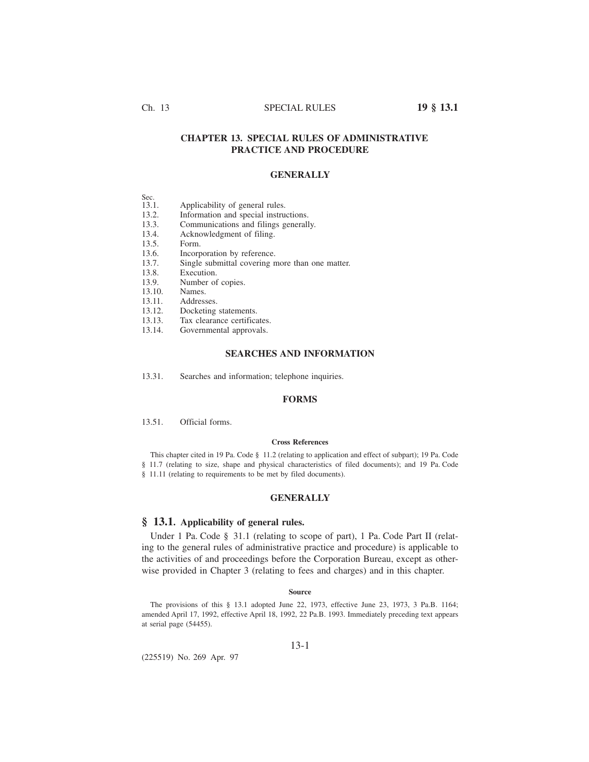# Ch. 13 SPECIAL RULES **19 § 13.1**

# **CHAPTER 13. SPECIAL RULES OF ADMINISTRATIVE PRACTICE AND PROCEDURE**

# **GENERALLY**

| . . | . .<br>.,<br>I<br>. |  |
|-----|---------------------|--|
|     |                     |  |

- 13.1. Applicability of general rules.
- 13.2. Information and special instructions.<br>13.3. Communications and filings generall
- 13.3. Communications and filings generally.<br>13.4. Acknowledgment of filing.
- 13.4. Acknowledgment of filing.<br>13.5. Form.
- Form.
- 13.6. Incorporation by reference.
- 13.7. Single submittal covering more than one matter.<br>13.8. Execution.
- Execution.
- 13.9. Number of copies.
- 13.10. Names.
- 13.11. Addresses.
- 13.12. Docketing statements.
- 13.13. Tax clearance certificates.
- 13.14. Governmental approvals.

## **SEARCHES AND INFORMATION**

13.31. Searches and information; telephone inquiries.

# **FORMS**

13.51. Official forms.

## **Cross References**

This chapter cited in 19 Pa. Code § 11.2 (relating to application and effect of subpart); 19 Pa. Code § 11.7 (relating to size, shape and physical characteristics of filed documents); and 19 Pa. Code § 11.11 (relating to requirements to be met by filed documents).

# **GENERALLY**

## **§ 13.1. Applicability of general rules.**

Under 1 Pa. Code § 31.1 (relating to scope of part), 1 Pa. Code Part II (relating to the general rules of administrative practice and procedure) is applicable to the activities of and proceedings before the Corporation Bureau, except as otherwise provided in Chapter 3 (relating to fees and charges) and in this chapter.

## **Source**

The provisions of this § 13.1 adopted June 22, 1973, effective June 23, 1973, 3 Pa.B. 1164; amended April 17, 1992, effective April 18, 1992, 22 Pa.B. 1993. Immediately preceding text appears at serial page (54455).

13-1

(225519) No. 269 Apr. 97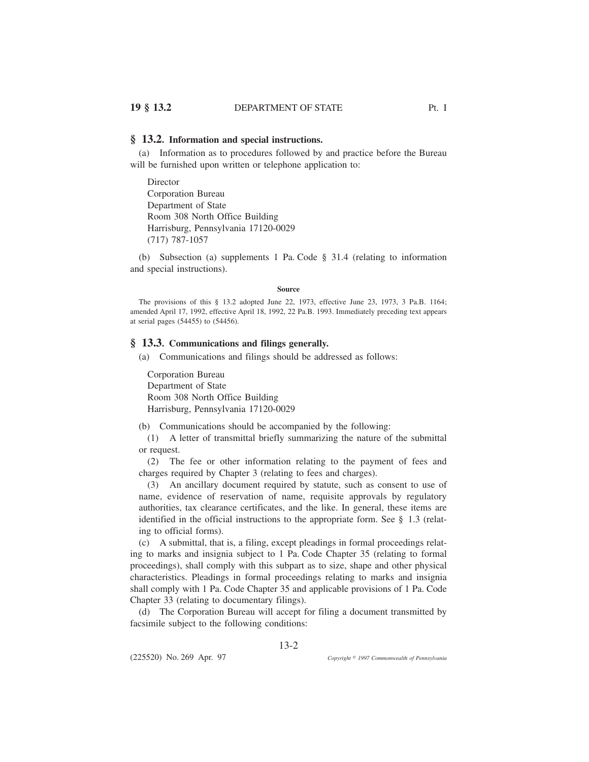## **§ 13.2. Information and special instructions.**

(a) Information as to procedures followed by and practice before the Bureau will be furnished upon written or telephone application to:

Director Corporation Bureau Department of State Room 308 North Office Building Harrisburg, Pennsylvania 17120-0029 (717) 787-1057

(b) Subsection (a) supplements 1 Pa. Code § 31.4 (relating to information and special instructions).

### **Source**

The provisions of this § 13.2 adopted June 22, 1973, effective June 23, 1973, 3 Pa.B. 1164; amended April 17, 1992, effective April 18, 1992, 22 Pa.B. 1993. Immediately preceding text appears at serial pages (54455) to (54456).

# **§ 13.3. Communications and filings generally.**

(a) Communications and filings should be addressed as follows:

Corporation Bureau Department of State Room 308 North Office Building Harrisburg, Pennsylvania 17120-0029

(b) Communications should be accompanied by the following:

(1) A letter of transmittal briefly summarizing the nature of the submittal or request.

(2) The fee or other information relating to the payment of fees and charges required by Chapter 3 (relating to fees and charges).

(3) An ancillary document required by statute, such as consent to use of name, evidence of reservation of name, requisite approvals by regulatory authorities, tax clearance certificates, and the like. In general, these items are identified in the official instructions to the appropriate form. See § 1.3 (relating to official forms).

(c) A submittal, that is, a filing, except pleadings in formal proceedings relating to marks and insignia subject to 1 Pa. Code Chapter 35 (relating to formal proceedings), shall comply with this subpart as to size, shape and other physical characteristics. Pleadings in formal proceedings relating to marks and insignia shall comply with 1 Pa. Code Chapter 35 and applicable provisions of 1 Pa. Code Chapter 33 (relating to documentary filings).

(d) The Corporation Bureau will accept for filing a document transmitted by facsimile subject to the following conditions:

13-2

(225520) No. 269 Apr. 97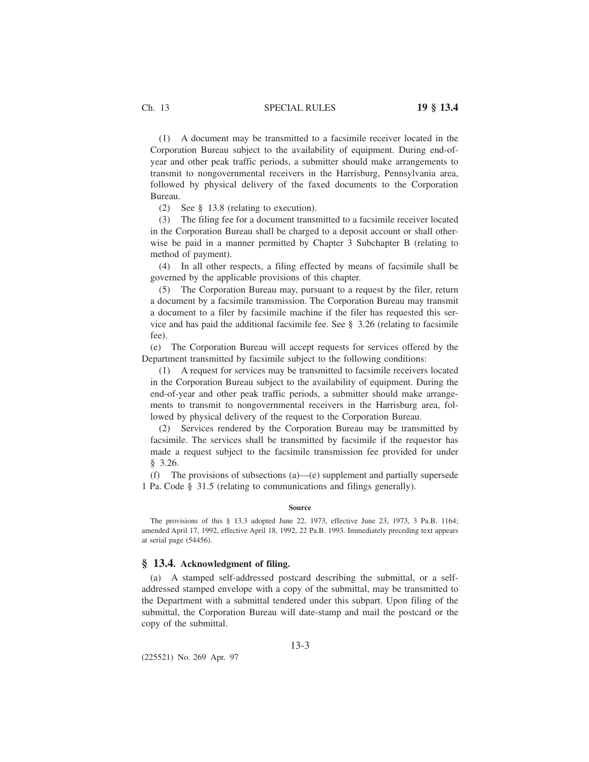(1) A document may be transmitted to a facsimile receiver located in the Corporation Bureau subject to the availability of equipment. During end-ofyear and other peak traffic periods, a submitter should make arrangements to transmit to nongovernmental receivers in the Harrisburg, Pennsylvania area, followed by physical delivery of the faxed documents to the Corporation Bureau.

(2) See § 13.8 (relating to execution).

(3) The filing fee for a document transmitted to a facsimile receiver located in the Corporation Bureau shall be charged to a deposit account or shall otherwise be paid in a manner permitted by Chapter 3 Subchapter B (relating to method of payment).

(4) In all other respects, a filing effected by means of facsimile shall be governed by the applicable provisions of this chapter.

(5) The Corporation Bureau may, pursuant to a request by the filer, return a document by a facsimile transmission. The Corporation Bureau may transmit a document to a filer by facsimile machine if the filer has requested this service and has paid the additional facsimile fee. See § 3.26 (relating to facsimile fee).

(e) The Corporation Bureau will accept requests for services offered by the Department transmitted by facsimile subject to the following conditions:

(1) A request for services may be transmitted to facsimile receivers located in the Corporation Bureau subject to the availability of equipment. During the end-of-year and other peak traffic periods, a submitter should make arrangements to transmit to nongovernmental receivers in the Harrisburg area, followed by physical delivery of the request to the Corporation Bureau.

(2) Services rendered by the Corporation Bureau may be transmitted by facsimile. The services shall be transmitted by facsimile if the requestor has made a request subject to the facsimile transmission fee provided for under § 3.26.

(f) The provisions of subsections (a)—(e) supplement and partially supersede 1 Pa. Code § 31.5 (relating to communications and filings generally).

#### **Source**

The provisions of this § 13.3 adopted June 22, 1973, effective June 23, 1973, 3 Pa.B. 1164; amended April 17, 1992, effective April 18, 1992, 22 Pa.B. 1993. Immediately preceding text appears at serial page (54456).

# **§ 13.4. Acknowledgment of filing.**

(a) A stamped self-addressed postcard describing the submittal, or a selfaddressed stamped envelope with a copy of the submittal, may be transmitted to the Department with a submittal tendered under this subpart. Upon filing of the submittal, the Corporation Bureau will date-stamp and mail the postcard or the copy of the submittal.

(225521) No. 269 Apr. 97

13-3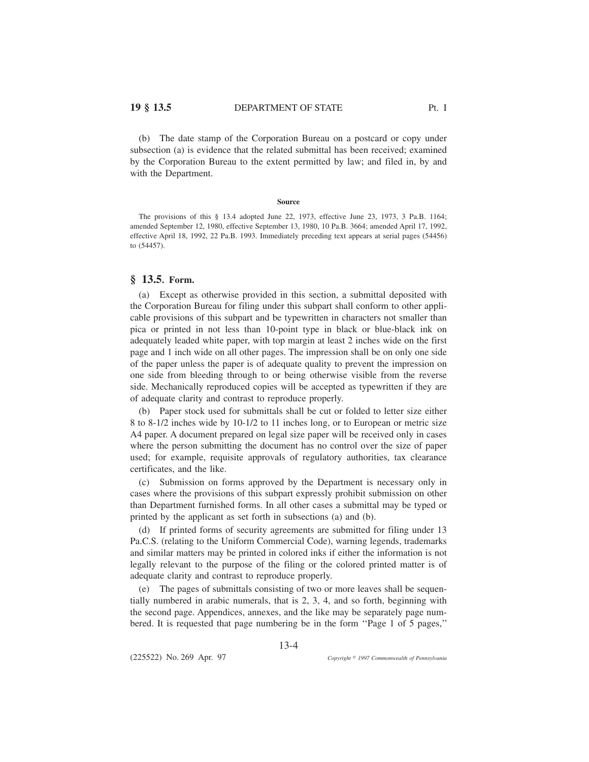(b) The date stamp of the Corporation Bureau on a postcard or copy under subsection (a) is evidence that the related submittal has been received; examined by the Corporation Bureau to the extent permitted by law; and filed in, by and with the Department.

### **Source**

The provisions of this § 13.4 adopted June 22, 1973, effective June 23, 1973, 3 Pa.B. 1164; amended September 12, 1980, effective September 13, 1980, 10 Pa.B. 3664; amended April 17, 1992, effective April 18, 1992, 22 Pa.B. 1993. Immediately preceding text appears at serial pages (54456) to (54457).

# **§ 13.5. Form.**

(a) Except as otherwise provided in this section, a submittal deposited with the Corporation Bureau for filing under this subpart shall conform to other applicable provisions of this subpart and be typewritten in characters not smaller than pica or printed in not less than 10-point type in black or blue-black ink on adequately leaded white paper, with top margin at least 2 inches wide on the first page and 1 inch wide on all other pages. The impression shall be on only one side of the paper unless the paper is of adequate quality to prevent the impression on one side from bleeding through to or being otherwise visible from the reverse side. Mechanically reproduced copies will be accepted as typewritten if they are of adequate clarity and contrast to reproduce properly.

(b) Paper stock used for submittals shall be cut or folded to letter size either 8 to 8-1/2 inches wide by 10-1/2 to 11 inches long, or to European or metric size A4 paper. A document prepared on legal size paper will be received only in cases where the person submitting the document has no control over the size of paper used; for example, requisite approvals of regulatory authorities, tax clearance certificates, and the like.

(c) Submission on forms approved by the Department is necessary only in cases where the provisions of this subpart expressly prohibit submission on other than Department furnished forms. In all other cases a submittal may be typed or printed by the applicant as set forth in subsections (a) and (b).

(d) If printed forms of security agreements are submitted for filing under 13 Pa.C.S. (relating to the Uniform Commercial Code), warning legends, trademarks and similar matters may be printed in colored inks if either the information is not legally relevant to the purpose of the filing or the colored printed matter is of adequate clarity and contrast to reproduce properly.

(e) The pages of submittals consisting of two or more leaves shall be sequentially numbered in arabic numerals, that is 2, 3, 4, and so forth, beginning with the second page. Appendices, annexes, and the like may be separately page numbered. It is requested that page numbering be in the form ''Page 1 of 5 pages,''

13-4

(225522) No. 269 Apr. 97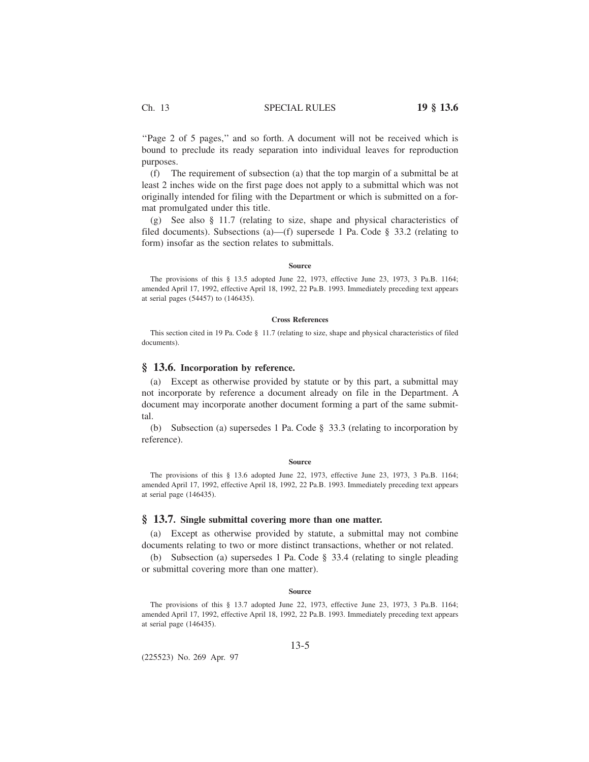''Page 2 of 5 pages,'' and so forth. A document will not be received which is bound to preclude its ready separation into individual leaves for reproduction purposes.

(f) The requirement of subsection (a) that the top margin of a submittal be at least 2 inches wide on the first page does not apply to a submittal which was not originally intended for filing with the Department or which is submitted on a format promulgated under this title.

(g) See also § 11.7 (relating to size, shape and physical characteristics of filed documents). Subsections (a)—(f) supersede 1 Pa. Code § 33.2 (relating to form) insofar as the section relates to submittals.

## **Source**

The provisions of this § 13.5 adopted June 22, 1973, effective June 23, 1973, 3 Pa.B. 1164; amended April 17, 1992, effective April 18, 1992, 22 Pa.B. 1993. Immediately preceding text appears at serial pages (54457) to (146435).

### **Cross References**

This section cited in 19 Pa. Code § 11.7 (relating to size, shape and physical characteristics of filed documents).

# **§ 13.6. Incorporation by reference.**

(a) Except as otherwise provided by statute or by this part, a submittal may not incorporate by reference a document already on file in the Department. A document may incorporate another document forming a part of the same submittal.

(b) Subsection (a) supersedes 1 Pa. Code § 33.3 (relating to incorporation by reference).

#### **Source**

The provisions of this § 13.6 adopted June 22, 1973, effective June 23, 1973, 3 Pa.B. 1164; amended April 17, 1992, effective April 18, 1992, 22 Pa.B. 1993. Immediately preceding text appears at serial page (146435).

## **§ 13.7. Single submittal covering more than one matter.**

(a) Except as otherwise provided by statute, a submittal may not combine documents relating to two or more distinct transactions, whether or not related.

(b) Subsection (a) supersedes 1 Pa. Code § 33.4 (relating to single pleading or submittal covering more than one matter).

### **Source**

The provisions of this § 13.7 adopted June 22, 1973, effective June 23, 1973, 3 Pa.B. 1164; amended April 17, 1992, effective April 18, 1992, 22 Pa.B. 1993. Immediately preceding text appears at serial page (146435).

(225523) No. 269 Apr. 97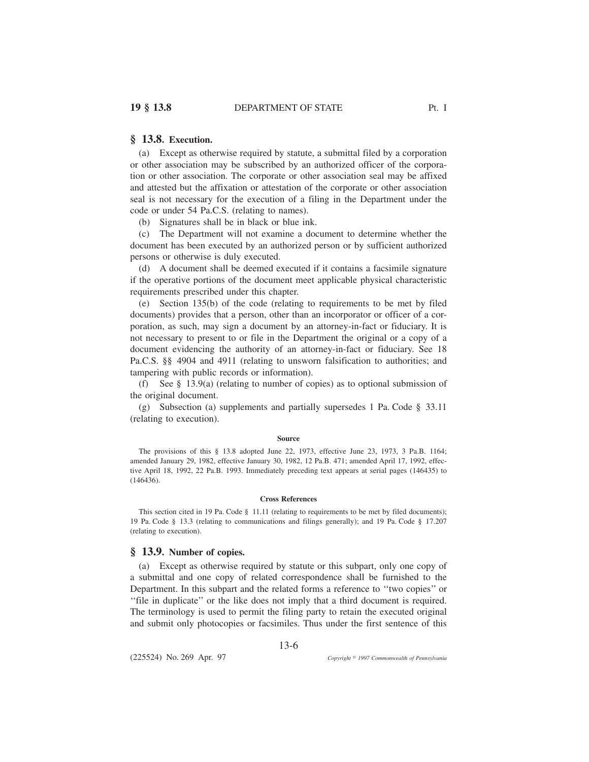(a) Except as otherwise required by statute, a submittal filed by a corporation or other association may be subscribed by an authorized officer of the corporation or other association. The corporate or other association seal may be affixed and attested but the affixation or attestation of the corporate or other association seal is not necessary for the execution of a filing in the Department under the code or under 54 Pa.C.S. (relating to names).

(b) Signatures shall be in black or blue ink.

(c) The Department will not examine a document to determine whether the document has been executed by an authorized person or by sufficient authorized persons or otherwise is duly executed.

(d) A document shall be deemed executed if it contains a facsimile signature if the operative portions of the document meet applicable physical characteristic requirements prescribed under this chapter.

(e) Section 135(b) of the code (relating to requirements to be met by filed documents) provides that a person, other than an incorporator or officer of a corporation, as such, may sign a document by an attorney-in-fact or fiduciary. It is not necessary to present to or file in the Department the original or a copy of a document evidencing the authority of an attorney-in-fact or fiduciary. See 18 Pa.C.S. §§ 4904 and 4911 (relating to unsworn falsification to authorities; and tampering with public records or information).

(f) See § 13.9(a) (relating to number of copies) as to optional submission of the original document.

(g) Subsection (a) supplements and partially supersedes 1 Pa. Code § 33.11 (relating to execution).

#### **Source**

The provisions of this § 13.8 adopted June 22, 1973, effective June 23, 1973, 3 Pa.B. 1164; amended January 29, 1982, effective January 30, 1982, 12 Pa.B. 471; amended April 17, 1992, effective April 18, 1992, 22 Pa.B. 1993. Immediately preceding text appears at serial pages (146435) to (146436).

#### **Cross References**

This section cited in 19 Pa. Code § 11.11 (relating to requirements to be met by filed documents); 19 Pa. Code § 13.3 (relating to communications and filings generally); and 19 Pa. Code § 17.207 (relating to execution).

# **§ 13.9. Number of copies.**

(a) Except as otherwise required by statute or this subpart, only one copy of a submittal and one copy of related correspondence shall be furnished to the Department. In this subpart and the related forms a reference to ''two copies'' or ''file in duplicate'' or the like does not imply that a third document is required. The terminology is used to permit the filing party to retain the executed original and submit only photocopies or facsimiles. Thus under the first sentence of this

13-6

(225524) No. 269 Apr. 97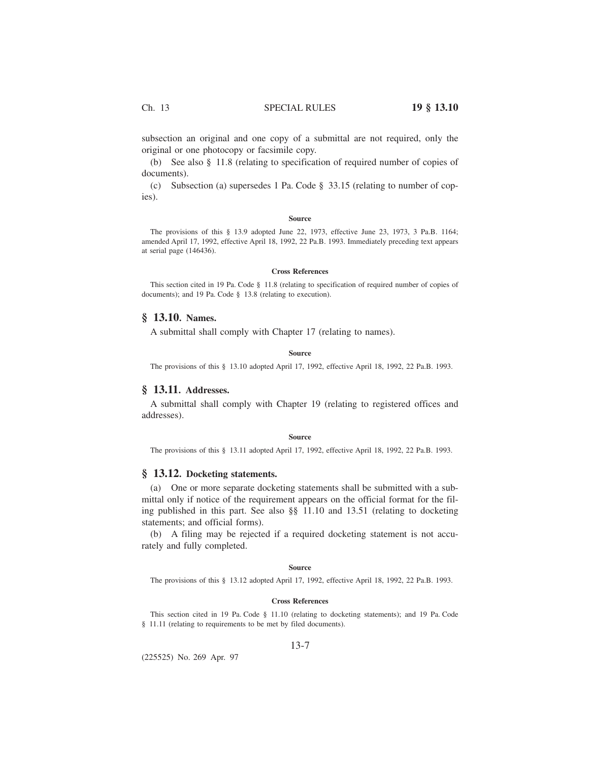subsection an original and one copy of a submittal are not required, only the original or one photocopy or facsimile copy.

(b) See also § 11.8 (relating to specification of required number of copies of documents).

(c) Subsection (a) supersedes 1 Pa. Code § 33.15 (relating to number of copies).

### **Source**

The provisions of this § 13.9 adopted June 22, 1973, effective June 23, 1973, 3 Pa.B. 1164; amended April 17, 1992, effective April 18, 1992, 22 Pa.B. 1993. Immediately preceding text appears at serial page (146436).

## **Cross References**

This section cited in 19 Pa. Code § 11.8 (relating to specification of required number of copies of documents); and 19 Pa. Code § 13.8 (relating to execution).

# **§ 13.10. Names.**

A submittal shall comply with Chapter 17 (relating to names).

## **Source**

The provisions of this § 13.10 adopted April 17, 1992, effective April 18, 1992, 22 Pa.B. 1993.

# **§ 13.11. Addresses.**

A submittal shall comply with Chapter 19 (relating to registered offices and addresses).

#### **Source**

The provisions of this § 13.11 adopted April 17, 1992, effective April 18, 1992, 22 Pa.B. 1993.

# **§ 13.12. Docketing statements.**

(a) One or more separate docketing statements shall be submitted with a submittal only if notice of the requirement appears on the official format for the filing published in this part. See also §§ 11.10 and 13.51 (relating to docketing statements; and official forms).

(b) A filing may be rejected if a required docketing statement is not accurately and fully completed.

## **Source**

The provisions of this § 13.12 adopted April 17, 1992, effective April 18, 1992, 22 Pa.B. 1993.

## **Cross References**

This section cited in 19 Pa. Code § 11.10 (relating to docketing statements); and 19 Pa. Code § 11.11 (relating to requirements to be met by filed documents).

## 13-7

(225525) No. 269 Apr. 97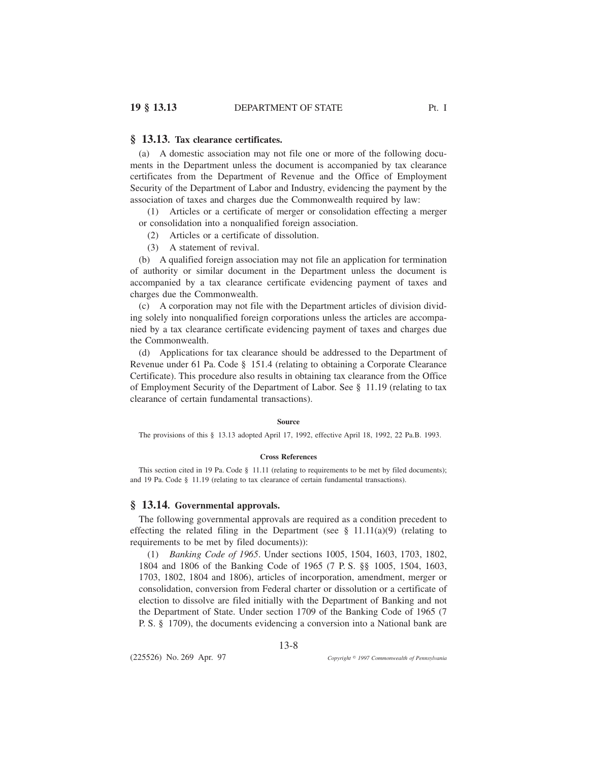# **§ 13.13. Tax clearance certificates.**

(a) A domestic association may not file one or more of the following documents in the Department unless the document is accompanied by tax clearance certificates from the Department of Revenue and the Office of Employment Security of the Department of Labor and Industry, evidencing the payment by the association of taxes and charges due the Commonwealth required by law:

(1) Articles or a certificate of merger or consolidation effecting a merger or consolidation into a nonqualified foreign association.

- (2) Articles or a certificate of dissolution.
- (3) A statement of revival.

(b) A qualified foreign association may not file an application for termination of authority or similar document in the Department unless the document is accompanied by a tax clearance certificate evidencing payment of taxes and charges due the Commonwealth.

(c) A corporation may not file with the Department articles of division dividing solely into nonqualified foreign corporations unless the articles are accompanied by a tax clearance certificate evidencing payment of taxes and charges due the Commonwealth.

(d) Applications for tax clearance should be addressed to the Department of Revenue under 61 Pa. Code § 151.4 (relating to obtaining a Corporate Clearance Certificate). This procedure also results in obtaining tax clearance from the Office of Employment Security of the Department of Labor. See § 11.19 (relating to tax clearance of certain fundamental transactions).

# **Source**

The provisions of this § 13.13 adopted April 17, 1992, effective April 18, 1992, 22 Pa.B. 1993.

### **Cross References**

This section cited in 19 Pa. Code § 11.11 (relating to requirements to be met by filed documents); and 19 Pa. Code § 11.19 (relating to tax clearance of certain fundamental transactions).

# **§ 13.14. Governmental approvals.**

The following governmental approvals are required as a condition precedent to effecting the related filing in the Department (see  $\S$  11.11(a)(9) (relating to requirements to be met by filed documents)):

(1) *Banking Code of 1965*. Under sections 1005, 1504, 1603, 1703, 1802, 1804 and 1806 of the Banking Code of 1965 (7 P. S. §§ 1005, 1504, 1603, 1703, 1802, 1804 and 1806), articles of incorporation, amendment, merger or consolidation, conversion from Federal charter or dissolution or a certificate of election to dissolve are filed initially with the Department of Banking and not the Department of State. Under section 1709 of the Banking Code of 1965 (7 P. S. § 1709), the documents evidencing a conversion into a National bank are

13-8

(225526) No. 269 Apr. 97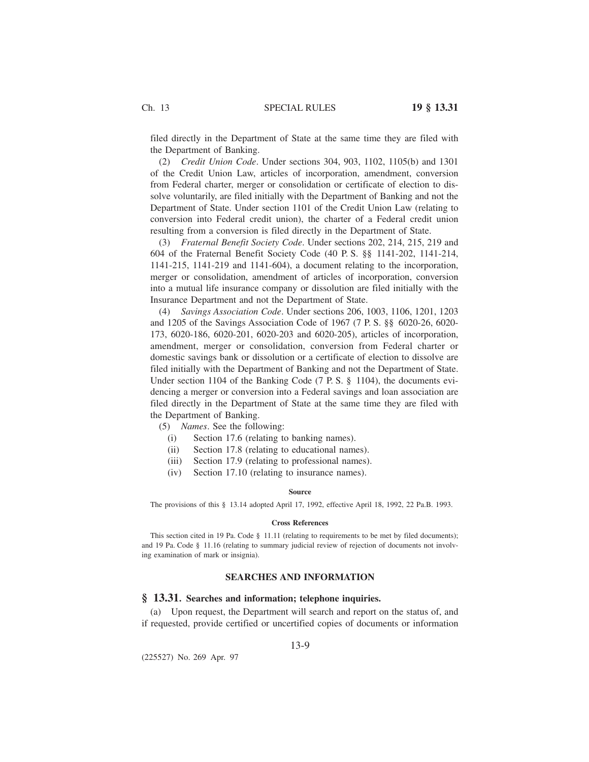filed directly in the Department of State at the same time they are filed with the Department of Banking.

(2) *Credit Union Code*. Under sections 304, 903, 1102, 1105(b) and 1301 of the Credit Union Law, articles of incorporation, amendment, conversion from Federal charter, merger or consolidation or certificate of election to dissolve voluntarily, are filed initially with the Department of Banking and not the Department of State. Under section 1101 of the Credit Union Law (relating to conversion into Federal credit union), the charter of a Federal credit union resulting from a conversion is filed directly in the Department of State.

(3) *Fraternal Benefit Society Code*. Under sections 202, 214, 215, 219 and 604 of the Fraternal Benefit Society Code (40 P. S. §§ 1141-202, 1141-214, 1141-215, 1141-219 and 1141-604), a document relating to the incorporation, merger or consolidation, amendment of articles of incorporation, conversion into a mutual life insurance company or dissolution are filed initially with the Insurance Department and not the Department of State.

(4) *Savings Association Code*. Under sections 206, 1003, 1106, 1201, 1203 and 1205 of the Savings Association Code of 1967 (7 P. S. §§ 6020-26, 6020- 173, 6020-186, 6020-201, 6020-203 and 6020-205), articles of incorporation, amendment, merger or consolidation, conversion from Federal charter or domestic savings bank or dissolution or a certificate of election to dissolve are filed initially with the Department of Banking and not the Department of State. Under section 1104 of the Banking Code (7 P. S. § 1104), the documents evidencing a merger or conversion into a Federal savings and loan association are filed directly in the Department of State at the same time they are filed with the Department of Banking.

(5) *Names*. See the following:

- (i) Section 17.6 (relating to banking names).
- (ii) Section 17.8 (relating to educational names).
- (iii) Section 17.9 (relating to professional names).
- (iv) Section 17.10 (relating to insurance names).

#### **Source**

The provisions of this § 13.14 adopted April 17, 1992, effective April 18, 1992, 22 Pa.B. 1993.

## **Cross References**

This section cited in 19 Pa. Code § 11.11 (relating to requirements to be met by filed documents); and 19 Pa. Code § 11.16 (relating to summary judicial review of rejection of documents not involving examination of mark or insignia).

# **SEARCHES AND INFORMATION**

# **§ 13.31. Searches and information; telephone inquiries.**

(a) Upon request, the Department will search and report on the status of, and if requested, provide certified or uncertified copies of documents or information

(225527) No. 269 Apr. 97